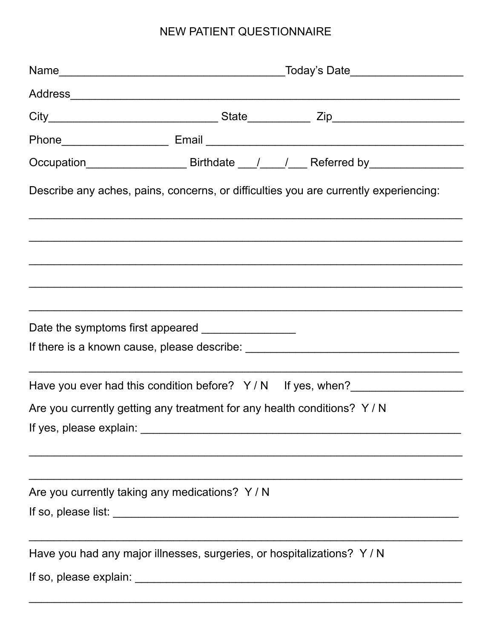## NEW PATIENT QUESTIONNAIRE

|                                                                        | Today's Date                                                                                        |  |  |  |  |
|------------------------------------------------------------------------|-----------------------------------------------------------------------------------------------------|--|--|--|--|
|                                                                        |                                                                                                     |  |  |  |  |
|                                                                        |                                                                                                     |  |  |  |  |
|                                                                        |                                                                                                     |  |  |  |  |
|                                                                        | Occupation____________________________Birthdate ____/_____/_____Referred by________________________ |  |  |  |  |
|                                                                        | Describe any aches, pains, concerns, or difficulties you are currently experiencing:                |  |  |  |  |
|                                                                        |                                                                                                     |  |  |  |  |
|                                                                        |                                                                                                     |  |  |  |  |
|                                                                        |                                                                                                     |  |  |  |  |
|                                                                        |                                                                                                     |  |  |  |  |
|                                                                        |                                                                                                     |  |  |  |  |
|                                                                        | Have you ever had this condition before? Y/N If yes, when?                                          |  |  |  |  |
| Are you currently getting any treatment for any health conditions? Y/N |                                                                                                     |  |  |  |  |
|                                                                        |                                                                                                     |  |  |  |  |
|                                                                        |                                                                                                     |  |  |  |  |
| Are you currently taking any medications? Y/N                          |                                                                                                     |  |  |  |  |
|                                                                        |                                                                                                     |  |  |  |  |
|                                                                        | Have you had any major illnesses, surgeries, or hospitalizations? Y / N                             |  |  |  |  |
|                                                                        |                                                                                                     |  |  |  |  |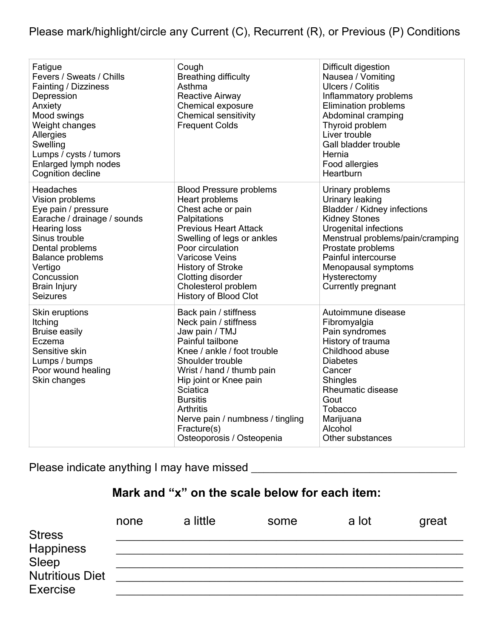Please mark/highlight/circle any Current (C), Recurrent (R), or Previous (P) Conditions

| Fatigue<br>Fevers / Sweats / Chills<br>Fainting / Dizziness<br>Depression<br>Anxiety<br>Mood swings<br>Weight changes<br>Allergies<br>Swelling<br>Lumps / cysts / tumors<br>Enlarged lymph nodes<br>Cognition decline                | Cough<br><b>Breathing difficulty</b><br>Asthma<br><b>Reactive Airway</b><br>Chemical exposure<br><b>Chemical sensitivity</b><br><b>Frequent Colds</b>                                                                                                                                                                             | Difficult digestion<br>Nausea / Vomiting<br><b>Ulcers / Colitis</b><br>Inflammatory problems<br><b>Elimination problems</b><br>Abdominal cramping<br>Thyroid problem<br>Liver trouble<br>Gall bladder trouble<br>Hernia<br>Food allergies<br>Heartburn                  |
|--------------------------------------------------------------------------------------------------------------------------------------------------------------------------------------------------------------------------------------|-----------------------------------------------------------------------------------------------------------------------------------------------------------------------------------------------------------------------------------------------------------------------------------------------------------------------------------|-------------------------------------------------------------------------------------------------------------------------------------------------------------------------------------------------------------------------------------------------------------------------|
| Headaches<br>Vision problems<br>Eye pain / pressure<br>Earache / drainage / sounds<br>Hearing loss<br>Sinus trouble<br>Dental problems<br><b>Balance problems</b><br>Vertigo<br>Concussion<br><b>Brain Injury</b><br><b>Seizures</b> | <b>Blood Pressure problems</b><br>Heart problems<br>Chest ache or pain<br>Palpitations<br><b>Previous Heart Attack</b><br>Swelling of legs or ankles<br>Poor circulation<br><b>Varicose Veins</b><br><b>History of Stroke</b><br>Clotting disorder<br>Cholesterol problem<br><b>History of Blood Clot</b>                         | Urinary problems<br>Urinary leaking<br><b>Bladder / Kidney infections</b><br><b>Kidney Stones</b><br>Urogenital infections<br>Menstrual problems/pain/cramping<br>Prostate problems<br>Painful intercourse<br>Menopausal symptoms<br>Hysterectomy<br>Currently pregnant |
| Skin eruptions<br>Itching<br><b>Bruise easily</b><br>Eczema<br>Sensitive skin<br>Lumps / bumps<br>Poor wound healing<br>Skin changes                                                                                                 | Back pain / stiffness<br>Neck pain / stiffness<br>Jaw pain / TMJ<br>Painful tailbone<br>Knee / ankle / foot trouble<br>Shoulder trouble<br>Wrist / hand / thumb pain<br>Hip joint or Knee pain<br>Sciatica<br><b>Bursitis</b><br><b>Arthritis</b><br>Nerve pain / numbness / tingling<br>Fracture(s)<br>Osteoporosis / Osteopenia | Autoimmune disease<br>Fibromyalgia<br>Pain syndromes<br>History of trauma<br>Childhood abuse<br><b>Diabetes</b><br>Cancer<br>Shingles<br>Rheumatic disease<br>Gout<br><b>Tobacco</b><br>Marijuana<br>Alcohol<br>Other substances                                        |

Please indicate anything I may have missed \_\_\_\_\_\_\_\_\_\_\_\_\_\_\_\_\_\_\_\_\_\_\_\_\_\_\_\_\_\_\_\_\_

## **Mark and "x" on the scale below for each item:**

| <b>Stress</b>                             | none | a little | some | a lot | great |
|-------------------------------------------|------|----------|------|-------|-------|
| Happiness<br>Sleep                        |      |          |      |       |       |
| <b>Nutritious Diet</b><br><b>Exercise</b> |      |          |      |       |       |